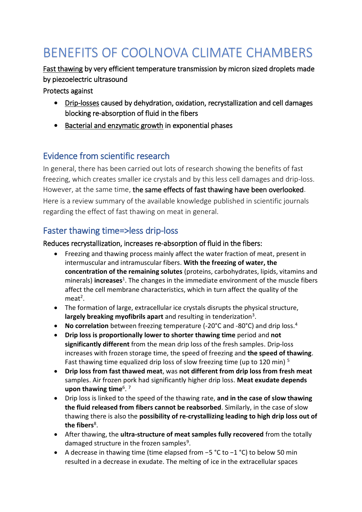# BENEFITS OF COOLNOVA CLIMATE CHAMBERS

Fast thawing by very efficient temperature transmission by micron sized droplets made by piezoelectric ultrasound

Protects against

- Drip-losses caused by dehydration, oxidation, recrystallization and cell damages blocking re-absorption of fluid in the fibers
- Bacterial and enzymatic growth in exponential phases

## Evidence from scientific research

In general, there has been carried out lots of research showing the benefits of fast freezing, which creates smaller ice crystals and by this less cell damages and drip-loss. However, at the same time, the same effects of fast thawing have been overlooked. Here is a review summary of the available knowledge published in scientific journals regarding the effect of fast thawing on meat in general.

## Faster thawing time=>less drip-loss

#### Reduces recrystallization, increases re-absorption of fluid in the fibers:

- Freezing and thawing process mainly affect the water fraction of meat, present in intermuscular and intramuscular fibers. **With the freezing of water, the concentration of the remaining solutes** (proteins, carbohydrates, lipids, vitamins and minerals) **increases**<sup>1</sup>. The changes in the immediate environment of the muscle fibers affect the cell membrane characteristics, which in turn affect the quality of the meat<sup>2</sup>.
- The formation of large, extracellular ice crystals disrupts the physical structure, largely breaking myofibrils apart and resulting in tenderization<sup>3</sup>.
- No correlation between freezing temperature (-20°C and -80°C) and drip loss.<sup>4</sup>
- **Drip loss is proportionally lower to shorter thawing time** period and **not significantly different** from the mean drip loss of the fresh samples. Drip-loss increases with frozen storage time, the speed of freezing and **the speed of thawing**. Fast thawing time equalized drip loss of slow freezing time (up to 120 min)<sup>5</sup>
- **Drip loss from fast thawed meat**, was **not different from drip loss from fresh meat** samples. Air frozen pork had significantly higher drip loss. **Meat exudate depends upon thawing time**<sup>6</sup> . 7
- Drip loss is linked to the speed of the thawing rate, **and in the case of slow thawing the fluid released from fibers cannot be reabsorbed**. Similarly, in the case of slow thawing there is also the **possibility of re-crystallizing leading to high drip loss out of the fibers**<sup>8</sup> .
- After thawing, the **ultra-structure of meat samples fully recovered** from the totally damaged structure in the frozen samples<sup>9</sup>.
- A decrease in thawing time (time elapsed from −5 °C to −1 °C) to below 50 min resulted in a decrease in exudate. The melting of ice in the extracellular spaces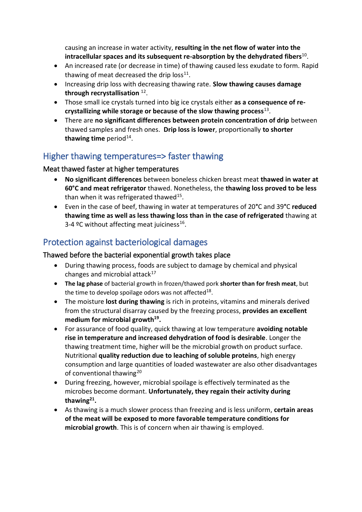causing an increase in water activity, **resulting in the net flow of water into the**  intracellular spaces and its subsequent re-absorption by the dehydrated fibers<sup>10</sup>.

- An increased rate (or decrease in time) of thawing caused less exudate to form. Rapid thawing of meat decreased the drip  $loss<sup>11</sup>$ .
- Increasing drip loss with decreasing thawing rate. **Slow thawing causes damage through recrystallisation** <sup>12</sup> .
- Those small ice crystals turned into big ice crystals either **as a consequence of recrystallizing while storage or because of the slow thawing process**<sup>13</sup> .
- There are **no significant differences between protein concentration of drip** between thawed samples and fresh ones. **Drip loss is lower**, proportionally **to shorter**  thawing time period<sup>14</sup>.

#### Higher thawing temperatures=> faster thawing

#### Meat thawed faster at higher temperatures

- **No significant differences** between boneless chicken breast meat **thawed in water at 60°C and meat refrigerator** thawed. Nonetheless, the **thawing loss proved to be less** than when it was refrigerated thawed<sup>15</sup>.
- Even in the case of beef, thawing in water at temperatures of 20**°**C and 39**°**C **reduced thawing time as well as less thawing loss than in the case of refrigerated** thawing at 3-4 °C without affecting meat juiciness<sup>16</sup>.

## Protection against bacteriological damages

#### Thawed before the bacterial exponential growth takes place

- During thawing process, foods are subject to damage by chemical and physical changes and microbial attack $17$
- **The lag phase** of bacterial growth in frozen/thawed pork **shorter than for fresh meat**, but the time to develop spoilage odors was not affected $^{18}$ .
- The moisture **lost during thawing** is rich in proteins, vitamins and minerals derived from the structural disarray caused by the freezing process, **provides an excellent medium for microbial growth<sup>19</sup> .**
- For assurance of food quality, quick thawing at low temperature **avoiding notable rise in temperature and increased dehydration of food is desirable**. Longer the thawing treatment time, higher will be the microbial growth on product surface. Nutritional **quality reduction due to leaching of soluble proteins**, high energy consumption and large quantities of loaded wastewater are also other disadvantages of conventional thawing<sup>20</sup>
- <span id="page-1-0"></span> During freezing, however, microbial spoilage is effectively terminated as the microbes become dormant. **Unfortunately, they regain their activity during thawing<sup>21</sup> .**
- As thawing is a much slower process than freezing and is less uniform, **certain areas of the meat will be exposed to more favorable temperature conditions for microbial growth**. This is of concern when air thawing is employed.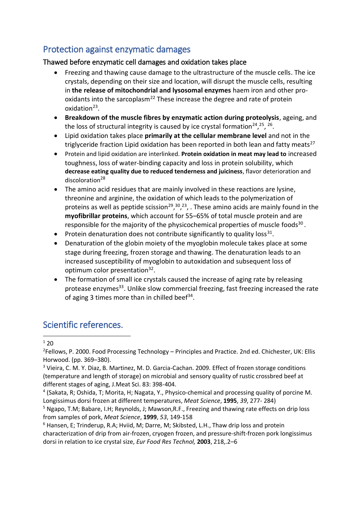## Protection against enzymatic damages

#### Thawed before enzymatic cell damages and oxidation takes place

- Freezing and thawing cause damage to the ultrastructure of the muscle cells. The ice crystals, depending on their size and location, will disrupt the muscle cells, resulting in **the release of mitochondrial and lysosomal enzymes** haem iron and other prooxidants into the sarcoplasm<sup>22</sup> These increase the degree and rate of protein oxidation<sup>23</sup>.
- <span id="page-2-0"></span> **Breakdown of the muscle fibres by enzymatic action during proteolysis**, ageing, and the loss of structural integrity is caused by ice crystal formation<sup>24</sup>,<sup>25</sup>, <sup>26</sup>.
- Lipid oxidation takes place **primarily at the cellular membrane level** and not in the triglyceride fraction Lipid oxidation has been reported in both lean and fatty meats<sup>27</sup>
- Protein and lipid oxidation are interlinked. **Protein oxidation in meat may lead to** increased toughness, loss of water-binding capacity and loss in protein solubility, which **decrease eating quality due to reduced tenderness and juiciness**, flavor deterioration and discoloration<sup>28</sup>
- <span id="page-2-1"></span> The amino acid residues that are mainly involved in these reactions are lysine, threonine and arginine, the oxidation of which leads to the polymerization of proteins as well as peptide scission<sup>29</sup>,<sup>30</sup>,<sup>[23](#page-2-0)</sup>, . These amino acids are mainly found in the **myofibrillar proteins**, which account for 55–65% of total muscle protein and are responsible for the majority of the physicochemical properties of muscle foods<sup>[30](#page-2-1)</sup>.
- Protein denaturation does not contribute significantly to quality loss<sup>31</sup>.
- Denaturation of the globin moiety of the myoglobin molecule takes place at some stage during freezing, frozen storage and thawing. The denaturation leads to an increased susceptibility of myoglobin to autoxidation and subsequent loss of optimum color presentation<sup>32</sup>.
- The formation of small ice crystals caused the increase of aging rate by releasing protease enzymes<sup>33</sup>. Unlike slow commercial freezing, fast freezing increased the rate of aging 3 times more than in chilled beef<sup>34</sup>.

### Scientific references.

 $1,20$  $1,20$ **.** 

<sup>2</sup>Fellows, P. 2000. Food Processing Technology - Principles and Practice. 2nd ed. Chichester, UK: Ellis Horwood. (pp. 369–380).

<sup>3</sup> Vieira, C. M. Y. Diaz, B. Martinez, M. D. Garcia-Cachan. 2009. Effect of frozen storage conditions (temperature and length of storage) on microbial and sensory quality of rustic crossbred beef at different stages of aging, J.Meat Sci. 83: 398-404.

<sup>4</sup> (Sakata, R; Oshida, T; Morita, H; Nagata, Y., Physico-chemical and processing quality of porcine M. Longissimus dorsi frozen at different temperatures, *Meat Science*, **1995**, *39*, 277- 284)

<sup>6</sup> Hansen, E; Trinderup, R.A; Hviid, M; Darre, M; Skibsted, L.H., Thaw drip loss and protein characterization of drip from air-frozen, cryogen frozen, and pressure-shift-frozen pork longissimus dorsi in relation to ice crystal size, *Eur Food Res Technol,* **2003**, 218,.2–6

<sup>5</sup> Ngapo, T.M; Babare, I.H; Reynolds, J; Mawson,R.F., Freezing and thawing rate effects on drip loss from samples of pork, *Meat Science*, **1999**, *53*, 149-158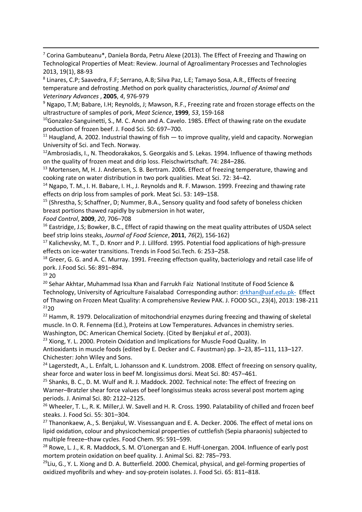$7$  Corina Gambuteanu\*, Daniela Borda, Petru Alexe (2013). The Effect of Freezing and Thawing on Technological Properties of Meat: Review. Journal of Agroalimentary Processes and Technologies 2013, 19(1), 88-93

<sup>8</sup> Linares, C.P; Saavedra, F.F; Serrano, A.B; Silva Paz, L.E; Tamayo Sosa, A.R., Effects of freezing temperature and defrosting .Method on pork quality characteristics, *Journal of Animal and Veterinary Advances* , **2005**, *4*, 976-979

<sup>9</sup> Ngapo, T.M; Babare, I.H; Reynolds, J; Mawson, R.F., Freezing rate and frozen storage effects on the ultrastructure of samples of pork, *Meat Science*, **1999**, *53*, 159-168

<sup>10</sup>Gonzalez-Sanguinetti, S., M. C. Anon and A. Cavelo. 1985. Effect of thawing rate on the exudate production of frozen beef. J. Food Sci. 50: 697–700.

 $11$  Haugland, A. 2002. Industrial thawing of fish  $-$  to improve quality, yield and capacity. Norwegian University of Sci. and Tech. Norway.

 $12A$ mbrosiadis, I., N. Theodorakakos, S. Georgakis and S. Lekas. 1994. Influence of thawing methods on the quality of frozen meat and drip loss. Fleischwirtschaft. 74: 284–286.

<sup>13</sup> Mortensen, M, H. J. Andersen, S. B. Bertram. 2006. Effect of freezing temperature, thawing and cooking rate on water distribution in two pork qualities. Meat Sci. 72: 34–42.

<sup>14</sup> Ngapo, T. M., I. H. Babare, I. H., J. Reynolds and R. F. Mawson. 1999. Freezing and thawing rate effects on drip loss from samples of pork. Meat Sci. 53: 149–158.

<sup>15</sup> (Shrestha, S; Schaffner, D; Nummer, B.A., Sensory quality and food safety of boneless chicken breast portions thawed rapidly by submersion in hot water,

*Food Control*, **2009**, *20*, 706–708

 $16$  Eastridge, J.S; Bowker, B.C., Effect of rapid thawing on the meat quality attributes of USDA select beef strip loins steaks, *Journal of Food Science*, **2011**, *76*(2), 156-162)

<sup>17</sup> Kalichevsky, M. T., D. Knorr and P. J. Lillford. 1995. Potential food applications of high-pressure effects on ice-water transitions. Trends in Food Sci.Tech. 6: 253–258.

 $18$  Greer, G. G. and A. C. Murray. 1991. Freezing effectson quality, bacteriology and retail case life of pork. J.Food Sci. 56: 891–894.

<sup>19</sup> [20](#page-1-0)

1

 $20$  Sehar Akhtar, Muhammad Issa Khan and Farrukh Faiz National Institute of Food Science & Technology, University of Agriculture Faisalabad Corresponding author: [drkhan@uaf.edu.pk-](mailto:drkhan@uaf.edu.pk-) Effect of Thawing on Frozen Meat Quality: A comprehensive Review PAK. J. FOOD SCI., 23(4), 2013: 198-211 <sup>21</sup>[20](#page-1-0)

<sup>22</sup> Hamm, R. 1979. Delocalization of mitochondrial enzymes during freezing and thawing of skeletal muscle. In O. R. Fennema (Ed.), Proteins at Low Temperatures. Advances in chemistry series.

Washington, DC: American Chemical Society. (Cited by Benjakul *et al*., 2003).

<sup>23</sup> Xiong, Y. L. 2000. Protein Oxidation and Implications for Muscle Food Quality. In Antioxidants in muscle foods (edited by E. Decker and C. Faustman) pp. 3–23, 85–111, 113–127. Chichester: John Wiley and Sons.

<sup>24</sup> Lagerstedt, A., L. Enfalt, L. Johansson and K. Lundstrom. 2008. Effect of freezing on sensory quality, shear force and water loss in beef M. longissimus dorsi. Meat Sci. 80: 457–461.

<sup>25</sup> Shanks, B. C., D. M. Wulf and R. J. Maddock. 2002. Technical note: The effect of freezing on Warner–Bratzler shear force values of beef longissimus steaks across several post mortem aging periods. J. Animal Sci. 80: 2122–2125.

<sup>26</sup> Wheeler, T. L., R. K. Miller, J. W. Savell and H. R. Cross. 1990. Palatability of chilled and frozen beef steaks. J. Food Sci. 55: 301–304.

 $27$  Thanonkaew, A., S. Benjakul, W. Visessanguan and E. A. Decker. 2006. The effect of metal ions on lipid oxidation, colour and physicochemical properties of cuttlefish (Sepia pharaonis) subjected to multiple freeze–thaw cycles. Food Chem. 95: 591–599.

<sup>28</sup> Rowe, L. J., K. R. Maddock, S. M. O'Lonergan and E. Huff-Lonergan. 2004. Influence of early post mortem protein oxidation on beef quality. J. Animal Sci. 82: 785–793.

 $^{29}$ Liu, G., Y. L. Xiong and D. A. Butterfield. 2000. Chemical, physical, and gel-forming properties of oxidized myofibrils and whey- and soy-protein isolates. J. Food Sci. 65: 811–818.